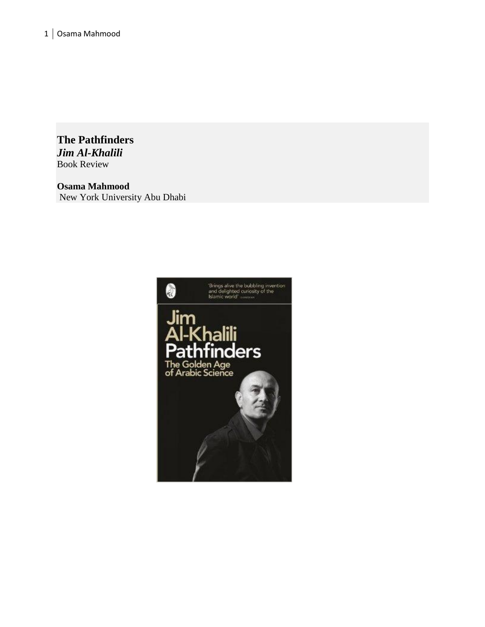**The Pathfinders** *Jim Al-Khalili* Book Review

**Osama Mahmood** New York University Abu Dhabi

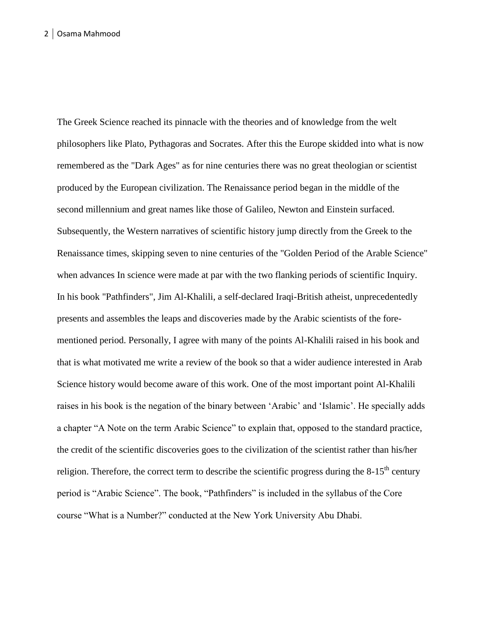The Greek Science reached its pinnacle with the theories and of knowledge from the welt philosophers like Plato, Pythagoras and Socrates. After this the Europe skidded into what is now remembered as the "Dark Ages" as for nine centuries there was no great theologian or scientist produced by the European civilization. The Renaissance period began in the middle of the second millennium and great names like those of Galileo, Newton and Einstein surfaced. Subsequently, the Western narratives of scientific history jump directly from the Greek to the Renaissance times, skipping seven to nine centuries of the "Golden Period of the Arable Science" when advances In science were made at par with the two flanking periods of scientific Inquiry. In his book "Pathfinders", Jim Al-Khalili, a self-declared Iraqi-British atheist, unprecedentedly presents and assembles the leaps and discoveries made by the Arabic scientists of the forementioned period. Personally, I agree with many of the points Al-Khalili raised in his book and that is what motivated me write a review of the book so that a wider audience interested in Arab Science history would become aware of this work. One of the most important point Al-Khalili raises in his book is the negation of the binary between 'Arabic' and 'Islamic'. He specially adds a chapter "A Note on the term Arabic Science" to explain that, opposed to the standard practice, the credit of the scientific discoveries goes to the civilization of the scientist rather than his/her religion. Therefore, the correct term to describe the scientific progress during the  $8-15<sup>th</sup>$  century period is "Arabic Science". The book, "Pathfinders" is included in the syllabus of the Core course "What is a Number?" conducted at the New York University Abu Dhabi.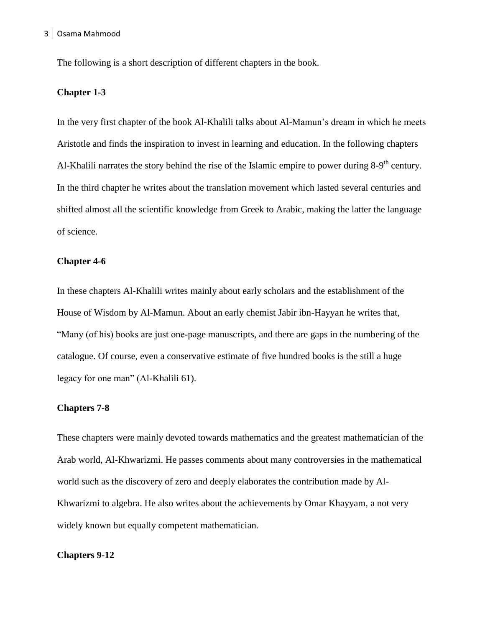The following is a short description of different chapters in the book.

# **Chapter 1-3**

In the very first chapter of the book Al-Khalili talks about Al-Mamun's dream in which he meets Aristotle and finds the inspiration to invest in learning and education. In the following chapters Al-Khalili narrates the story behind the rise of the Islamic empire to power during  $8\text{-}9^\text{th}$  century. In the third chapter he writes about the translation movement which lasted several centuries and shifted almost all the scientific knowledge from Greek to Arabic, making the latter the language of science.

# **Chapter 4-6**

In these chapters Al-Khalili writes mainly about early scholars and the establishment of the House of Wisdom by Al-Mamun. About an early chemist Jabir ibn-Hayyan he writes that, "Many (of his) books are just one-page manuscripts, and there are gaps in the numbering of the catalogue. Of course, even a conservative estimate of five hundred books is the still a huge legacy for one man" (Al-Khalili 61).

### **Chapters 7-8**

These chapters were mainly devoted towards mathematics and the greatest mathematician of the Arab world, Al-Khwarizmi. He passes comments about many controversies in the mathematical world such as the discovery of zero and deeply elaborates the contribution made by Al-Khwarizmi to algebra. He also writes about the achievements by Omar Khayyam, a not very widely known but equally competent mathematician.

# **Chapters 9-12**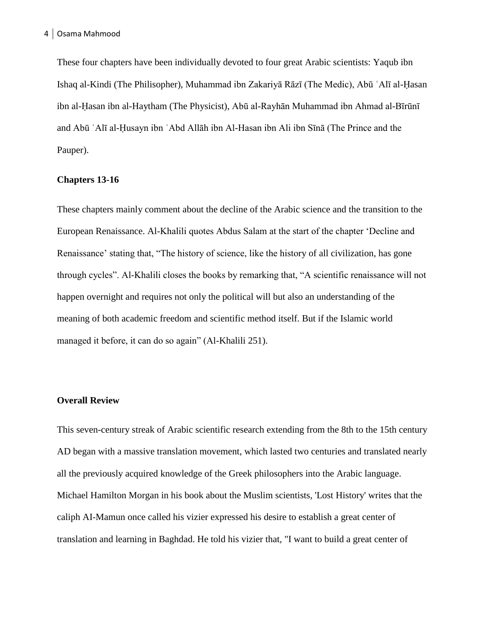These four chapters have been individually devoted to four great Arabic scientists: Yaqub ibn Ishaq al-Kindi (The Philisopher), Muhammad ibn Zakariyā Rāzī (The Medic), Abū ʿAlī al-Ḥasan ibn al-Ḥasan ibn al-Haytham (The Physicist), Abū al-Rayhān Muhammad ibn Ahmad al-Bīrūnī and Abū ʿAlī al-Ḥusayn ibn ʿAbd Allāh ibn Al-Hasan ibn Ali ibn Sīnā (The Prince and the Pauper).

#### **Chapters 13-16**

These chapters mainly comment about the decline of the Arabic science and the transition to the European Renaissance. Al-Khalili quotes Abdus Salam at the start of the chapter 'Decline and Renaissance' stating that, "The history of science, like the history of all civilization, has gone through cycles". Al-Khalili closes the books by remarking that, "A scientific renaissance will not happen overnight and requires not only the political will but also an understanding of the meaning of both academic freedom and scientific method itself. But if the Islamic world managed it before, it can do so again" (Al-Khalili 251).

#### **Overall Review**

This seven-century streak of Arabic scientific research extending from the 8th to the 15th century AD began with a massive translation movement, which lasted two centuries and translated nearly all the previously acquired knowledge of the Greek philosophers into the Arabic language. Michael Hamilton Morgan in his book about the Muslim scientists, 'Lost History' writes that the caliph AI-Mamun once called his vizier expressed his desire to establish a great center of translation and learning in Baghdad. He told his vizier that, "I want to build a great center of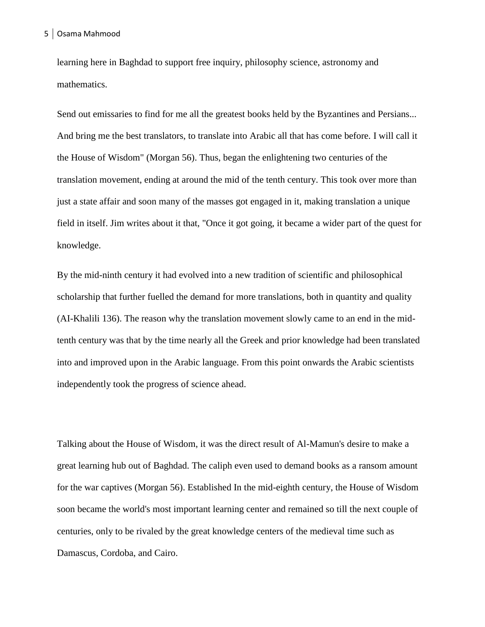5 Osama Mahmood

learning here in Baghdad to support free inquiry, philosophy science, astronomy and mathematics.

Send out emissaries to find for me all the greatest books held by the Byzantines and Persians... And bring me the best translators, to translate into Arabic all that has come before. I will call it the House of Wisdom" (Morgan 56). Thus, began the enlightening two centuries of the translation movement, ending at around the mid of the tenth century. This took over more than just a state affair and soon many of the masses got engaged in it, making translation a unique field in itself. Jim writes about it that, "Once it got going, it became a wider part of the quest for knowledge.

By the mid-ninth century it had evolved into a new tradition of scientific and philosophical scholarship that further fuelled the demand for more translations, both in quantity and quality (AI-Khalili 136). The reason why the translation movement slowly came to an end in the midtenth century was that by the time nearly all the Greek and prior knowledge had been translated into and improved upon in the Arabic language. From this point onwards the Arabic scientists independently took the progress of science ahead.

Talking about the House of Wisdom, it was the direct result of Al-Mamun's desire to make a great learning hub out of Baghdad. The caliph even used to demand books as a ransom amount for the war captives (Morgan 56). Established In the mid-eighth century, the House of Wisdom soon became the world's most important learning center and remained so till the next couple of centuries, only to be rivaled by the great knowledge centers of the medieval time such as Damascus, Cordoba, and Cairo.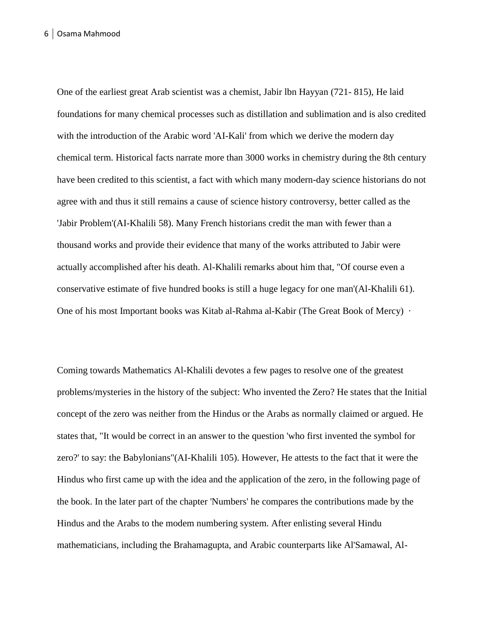One of the earliest great Arab scientist was a chemist, Jabir lbn Hayyan (721- 815), He laid foundations for many chemical processes such as distillation and sublimation and is also credited with the introduction of the Arabic word 'AI-Kali' from which we derive the modern day chemical term. Historical facts narrate more than 3000 works in chemistry during the 8th century have been credited to this scientist, a fact with which many modern-day science historians do not agree with and thus it still remains a cause of science history controversy, better called as the 'Jabir Problem'(AI-Khalili 58). Many French historians credit the man with fewer than a thousand works and provide their evidence that many of the works attributed to Jabir were actually accomplished after his death. Al-Khalili remarks about him that, "Of course even a conservative estimate of five hundred books is still a huge legacy for one man'(Al-Khalili 61). One of his most Important books was Kitab al-Rahma al-Kabir (The Great Book of Mercy) ·

Coming towards Mathematics Al-Khalili devotes a few pages to resolve one of the greatest problems/mysteries in the history of the subject: Who invented the Zero? He states that the Initial concept of the zero was neither from the Hindus or the Arabs as normally claimed or argued. He states that, "It would be correct in an answer to the question 'who first invented the symbol for zero?' to say: the Babylonians"(AI-Khalili 105). However, He attests to the fact that it were the Hindus who first came up with the idea and the application of the zero, in the following page of the book. In the later part of the chapter 'Numbers' he compares the contributions made by the Hindus and the Arabs to the modem numbering system. After enlisting several Hindu mathematicians, including the Brahamagupta, and Arabic counterparts like Al'Samawal, Al-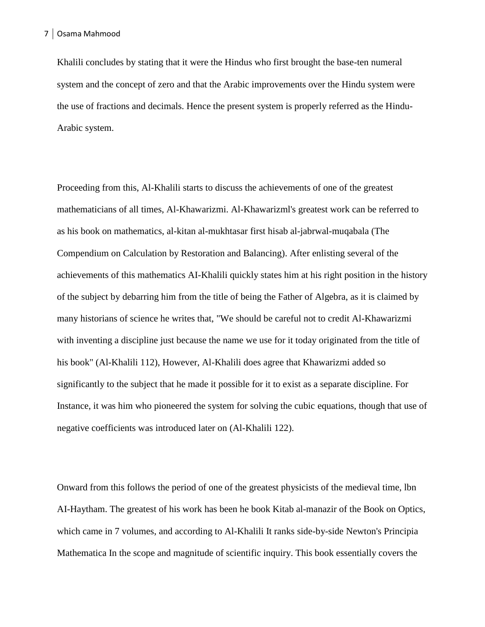Khalili concludes by stating that it were the Hindus who first brought the base-ten numeral system and the concept of zero and that the Arabic improvements over the Hindu system were the use of fractions and decimals. Hence the present system is properly referred as the Hindu-Arabic system.

Proceeding from this, Al-Khalili starts to discuss the achievements of one of the greatest mathematicians of all times, Al-Khawarizmi. Al-Khawarizml's greatest work can be referred to as his book on mathematics, al-kitan al-mukhtasar first hisab al-jabrwal-muqabala (The Compendium on Calculation by Restoration and Balancing). After enlisting several of the achievements of this mathematics AI-Khalili quickly states him at his right position in the history of the subject by debarring him from the title of being the Father of Algebra, as it is claimed by many historians of science he writes that, "We should be careful not to credit Al-Khawarizmi with inventing a discipline just because the name we use for it today originated from the title of his book" (Al-Khalili 112), However, Al-Khalili does agree that Khawarizmi added so significantly to the subject that he made it possible for it to exist as a separate discipline. For Instance, it was him who pioneered the system for solving the cubic equations, though that use of negative coefficients was introduced later on (Al-Khalili 122).

Onward from this follows the period of one of the greatest physicists of the medieval time, lbn AI-Haytham. The greatest of his work has been he book Kitab al-manazir of the Book on Optics, which came in 7 volumes, and according to Al-Khalili It ranks side-by-side Newton's Principia Mathematica In the scope and magnitude of scientific inquiry. This book essentially covers the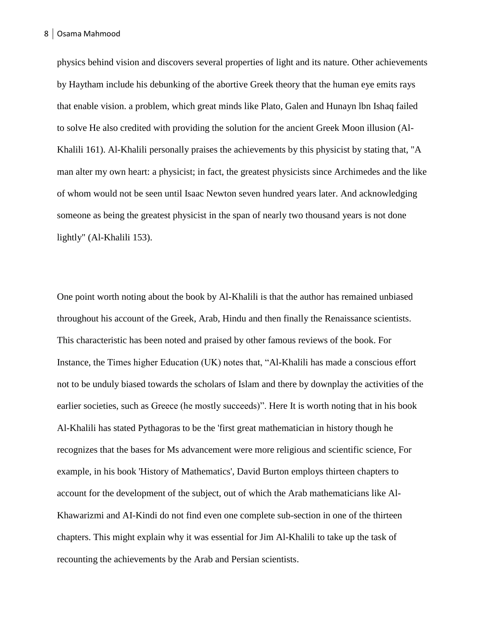physics behind vision and discovers several properties of light and its nature. Other achievements by Haytham include his debunking of the abortive Greek theory that the human eye emits rays that enable vision. a problem, which great minds like Plato, Galen and Hunayn lbn Ishaq failed to solve He also credited with providing the solution for the ancient Greek Moon illusion (Al-Khalili 161). Al-Khalili personally praises the achievements by this physicist by stating that, "A man alter my own heart: a physicist; in fact, the greatest physicists since Archimedes and the like of whom would not be seen until Isaac Newton seven hundred years later. And acknowledging someone as being the greatest physicist in the span of nearly two thousand years is not done lightly" (Al-Khalili 153).

One point worth noting about the book by Al-Khalili is that the author has remained unbiased throughout his account of the Greek, Arab, Hindu and then finally the Renaissance scientists. This characteristic has been noted and praised by other famous reviews of the book. For Instance, the Times higher Education (UK) notes that, "Al-Khalili has made a conscious effort not to be unduly biased towards the scholars of Islam and there by downplay the activities of the earlier societies, such as Greece (he mostly succeeds)". Here It is worth noting that in his book Al-Khalili has stated Pythagoras to be the 'first great mathematician in history though he recognizes that the bases for Ms advancement were more religious and scientific science, For example, in his book 'History of Mathematics', David Burton employs thirteen chapters to account for the development of the subject, out of which the Arab mathematicians like Al-Khawarizmi and AI-Kindi do not find even one complete sub-section in one of the thirteen chapters. This might explain why it was essential for Jim Al-Khalili to take up the task of recounting the achievements by the Arab and Persian scientists.